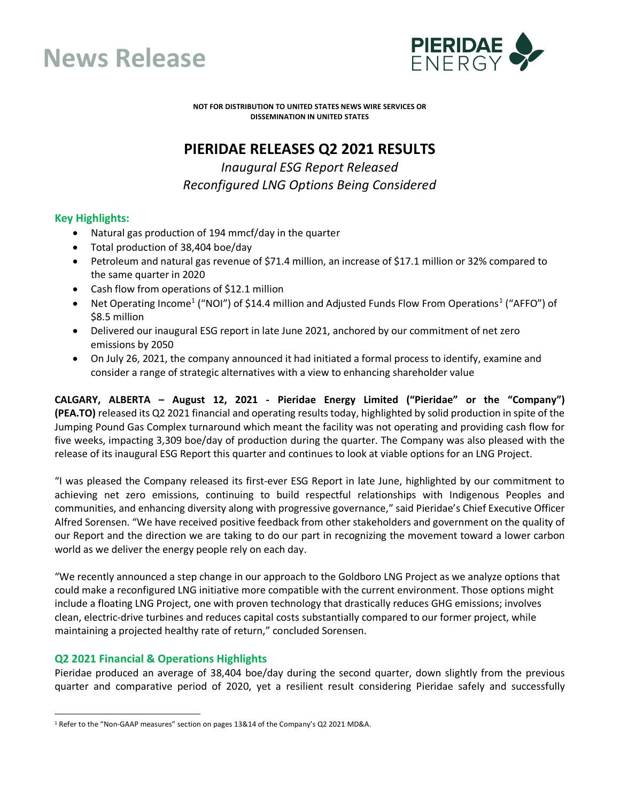



**NOT FOR DISTRIBUTION TO UNITED STATES NEWS WIRE SERVICES OR DISSEMINATION IN UNITED STATES**

# **PIERIDAE RELEASES Q2 2021 RESULTS**

*Inaugural ESG Report Released Reconfigured LNG Options Being Considered*

## **Key Highlights:**

- Natural gas production of 194 mmcf/day in the quarter
- Total production of 38,404 boe/day
- Petroleum and natural gas revenue of \$71.4 million, an increase of \$17.1 million or 32% compared to the same quarter in 2020
- Cash flow from operations of \$12.1 million
- Net Operating Income<sup>[1](#page-0-0)</sup> ("NOI") of \$14.4 million and Adjusted Funds Flow From Operations<sup>1</sup> ("AFFO") of \$8.5 million
- Delivered our inaugural ESG report in late June 2021, anchored by our commitment of net zero emissions by 2050
- On July 26, 2021, the company announced it had initiated a formal process to identify, examine and consider a range of strategic alternatives with a view to enhancing shareholder value

**CALGARY, ALBERTA – August 12, 2021 - Pieridae Energy Limited ("Pieridae" or the "Company") (PEA.TO)** released its Q2 2021 financial and operating results today, highlighted by solid production in spite of the Jumping Pound Gas Complex turnaround which meant the facility was not operating and providing cash flow for five weeks, impacting 3,309 boe/day of production during the quarter. The Company was also pleased with the release of its inaugural ESG Report this quarter and continues to look at viable options for an LNG Project.

"I was pleased the Company released its first-ever ESG Report in late June, highlighted by our commitment to achieving net zero emissions, continuing to build respectful relationships with Indigenous Peoples and communities, and enhancing diversity along with progressive governance," said Pieridae's Chief Executive Officer Alfred Sorensen. "We have received positive feedback from other stakeholders and government on the quality of our Report and the direction we are taking to do our part in recognizing the movement toward a lower carbon world as we deliver the energy people rely on each day.

"We recently announced a step change in our approach to the Goldboro LNG Project as we analyze options that could make a reconfigured LNG initiative more compatible with the current environment. Those options might include a floating LNG Project, one with proven technology that drastically reduces GHG emissions; involves clean, electric-drive turbines and reduces capital costs substantially compared to our former project, while maintaining a projected healthy rate of return," concluded Sorensen.

## **Q2 2021 Financial & Operations Highlights**

Pieridae produced an average of 38,404 boe/day during the second quarter, down slightly from the previous quarter and comparative period of 2020, yet a resilient result considering Pieridae safely and successfully

<span id="page-0-0"></span><sup>&</sup>lt;sup>1</sup> Refer to the "Non-GAAP measures" section on pages 13&14 of the Company's Q2 2021 MD&A.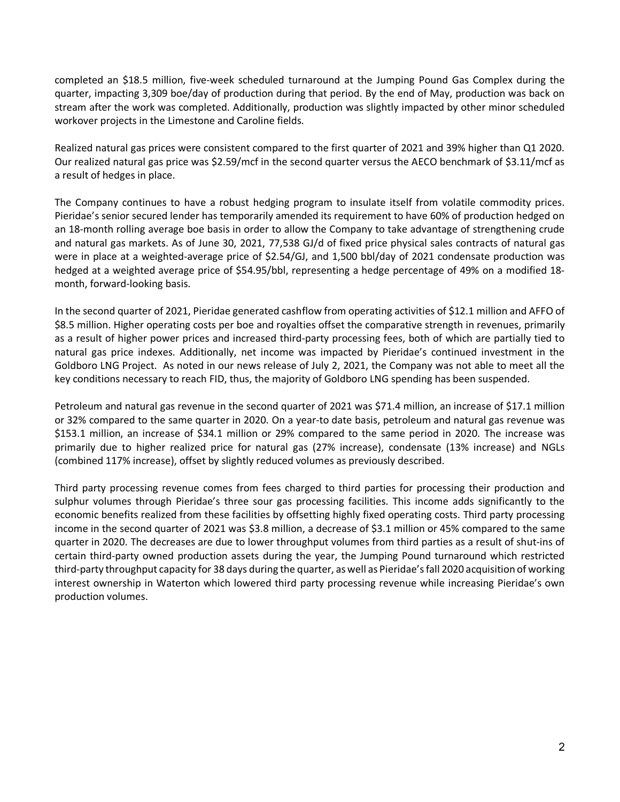completed an \$18.5 million, five-week scheduled turnaround at the Jumping Pound Gas Complex during the quarter, impacting 3,309 boe/day of production during that period. By the end of May, production was back on stream after the work was completed. Additionally, production was slightly impacted by other minor scheduled workover projects in the Limestone and Caroline fields.

Realized natural gas prices were consistent compared to the first quarter of 2021 and 39% higher than Q1 2020. Our realized natural gas price was \$2.59/mcf in the second quarter versus the AECO benchmark of \$3.11/mcf as a result of hedges in place.

The Company continues to have a robust hedging program to insulate itself from volatile commodity prices. Pieridae's senior secured lender has temporarily amended its requirement to have 60% of production hedged on an 18-month rolling average boe basis in order to allow the Company to take advantage of strengthening crude and natural gas markets. As of June 30, 2021, 77,538 GJ/d of fixed price physical sales contracts of natural gas were in place at a weighted-average price of \$2.54/GJ, and 1,500 bbl/day of 2021 condensate production was hedged at a weighted average price of \$54.95/bbl, representing a hedge percentage of 49% on a modified 18 month, forward-looking basis.

In the second quarter of 2021, Pieridae generated cashflow from operating activities of \$12.1 million and AFFO of \$8.5 million. Higher operating costs per boe and royalties offset the comparative strength in revenues, primarily as a result of higher power prices and increased third-party processing fees, both of which are partially tied to natural gas price indexes. Additionally, net income was impacted by Pieridae's continued investment in the Goldboro LNG Project. As noted in our news release of July 2, 2021, the Company was not able to meet all the key conditions necessary to reach FID, thus, the majority of Goldboro LNG spending has been suspended.

Petroleum and natural gas revenue in the second quarter of 2021 was \$71.4 million, an increase of \$17.1 million or 32% compared to the same quarter in 2020. On a year-to date basis, petroleum and natural gas revenue was \$153.1 million, an increase of \$34.1 million or 29% compared to the same period in 2020. The increase was primarily due to higher realized price for natural gas (27% increase), condensate (13% increase) and NGLs (combined 117% increase), offset by slightly reduced volumes as previously described.

Third party processing revenue comes from fees charged to third parties for processing their production and sulphur volumes through Pieridae's three sour gas processing facilities. This income adds significantly to the economic benefits realized from these facilities by offsetting highly fixed operating costs. Third party processing income in the second quarter of 2021 was \$3.8 million, a decrease of \$3.1 million or 45% compared to the same quarter in 2020. The decreases are due to lower throughput volumes from third parties as a result of shut-ins of certain third-party owned production assets during the year, the Jumping Pound turnaround which restricted third-party throughput capacity for 38 days during the quarter, as well as Pieridae's fall 2020 acquisition of working interest ownership in Waterton which lowered third party processing revenue while increasing Pieridae's own production volumes.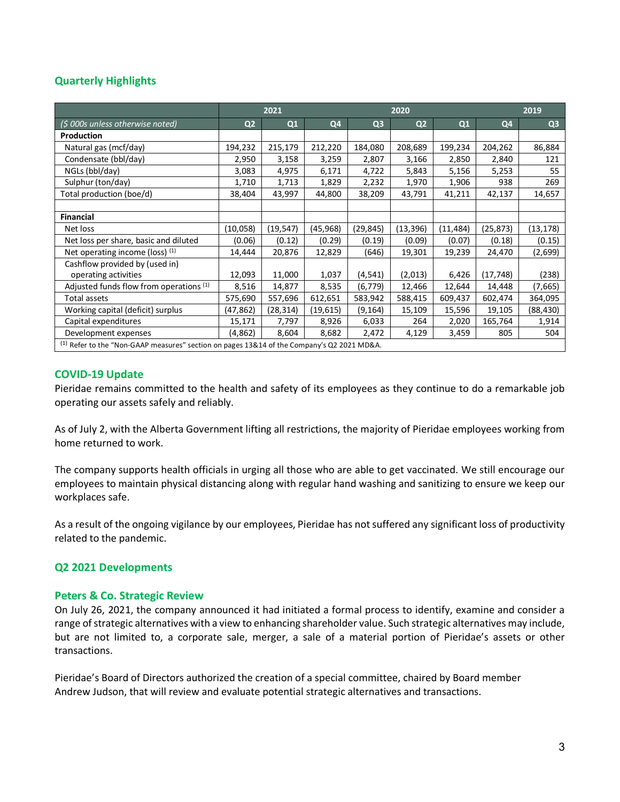# **Quarterly Highlights**

|                                                                                                 | 2021           |           |                | 2020           |                |           | 2019      |                |
|-------------------------------------------------------------------------------------------------|----------------|-----------|----------------|----------------|----------------|-----------|-----------|----------------|
| (\$ 000s unless otherwise noted)                                                                | Q <sub>2</sub> | Q1        | Q <sub>4</sub> | Q <sub>3</sub> | Q <sub>2</sub> | Q1        | Q4        | Q <sub>3</sub> |
| Production                                                                                      |                |           |                |                |                |           |           |                |
| Natural gas (mcf/day)                                                                           | 194,232        | 215,179   | 212,220        | 184,080        | 208,689        | 199,234   | 204,262   | 86,884         |
| Condensate (bbl/day)                                                                            | 2,950          | 3,158     | 3,259          | 2,807          | 3,166          | 2,850     | 2,840     | 121            |
| NGLs (bbl/day)                                                                                  | 3,083          | 4,975     | 6,171          | 4,722          | 5,843          | 5,156     | 5,253     | 55             |
| Sulphur (ton/day)                                                                               | 1,710          | 1,713     | 1,829          | 2,232          | 1,970          | 1,906     | 938       | 269            |
| Total production (boe/d)                                                                        | 38,404         | 43,997    | 44,800         | 38,209         | 43,791         | 41,211    | 42,137    | 14,657         |
|                                                                                                 |                |           |                |                |                |           |           |                |
| <b>Financial</b>                                                                                |                |           |                |                |                |           |           |                |
| Net loss                                                                                        | (10,058)       | (19, 547) | (45, 968)      | (29, 845)      | (13, 396)      | (11, 484) | (25, 873) | (13, 178)      |
| Net loss per share, basic and diluted                                                           | (0.06)         | (0.12)    | (0.29)         | (0.19)         | (0.09)         | (0.07)    | (0.18)    | (0.15)         |
| Net operating income (loss) (1)                                                                 | 14,444         | 20,876    | 12,829         | (646)          | 19,301         | 19,239    | 24,470    | (2,699)        |
| Cashflow provided by (used in)                                                                  |                |           |                |                |                |           |           |                |
| operating activities                                                                            | 12,093         | 11,000    | 1,037          | (4, 541)       | (2,013)        | 6,426     | (17, 748) | (238)          |
| Adjusted funds flow from operations (1)                                                         | 8,516          | 14,877    | 8,535          | (6, 779)       | 12,466         | 12,644    | 14,448    | (7,665)        |
| Total assets                                                                                    | 575,690        | 557,696   | 612,651        | 583,942        | 588,415        | 609,437   | 602,474   | 364,095        |
| Working capital (deficit) surplus                                                               | (47,862)       | (28, 314) | (19, 615)      | (9, 164)       | 15,109         | 15,596    | 19,105    | (88, 430)      |
| Capital expenditures                                                                            | 15,171         | 7,797     | 8,926          | 6,033          | 264            | 2,020     | 165,764   | 1,914          |
| Development expenses                                                                            | (4,862)        | 8,604     | 8,682          | 2,472          | 4,129          | 3,459     | 805       | 504            |
| $^{(1)}$ Refer to the "Non-GAAP measures" section on pages 13&14 of the Company's Q2 2021 MD&A. |                |           |                |                |                |           |           |                |

## **COVID-19 Update**

Pieridae remains committed to the health and safety of its employees as they continue to do a remarkable job operating our assets safely and reliably.

As of July 2, with the Alberta Government lifting all restrictions, the majority of Pieridae employees working from home returned to work.

The company supports health officials in urging all those who are able to get vaccinated. We still encourage our employees to maintain physical distancing along with regular hand washing and sanitizing to ensure we keep our workplaces safe.

As a result of the ongoing vigilance by our employees, Pieridae has not suffered any significant loss of productivity related to the pandemic.

## **Q2 2021 Developments**

## **Peters & Co. Strategic Review**

On July 26, 2021, the company announced it had initiated a formal process to identify, examine and consider a range of strategic alternatives with a view to enhancing shareholder value. Such strategic alternatives may include, but are not limited to, a corporate sale, merger, a sale of a material portion of Pieridae's assets or other transactions.

Pieridae's Board of Directors authorized the creation of a special committee, chaired by Board member Andrew Judson, that will review and evaluate potential strategic alternatives and transactions.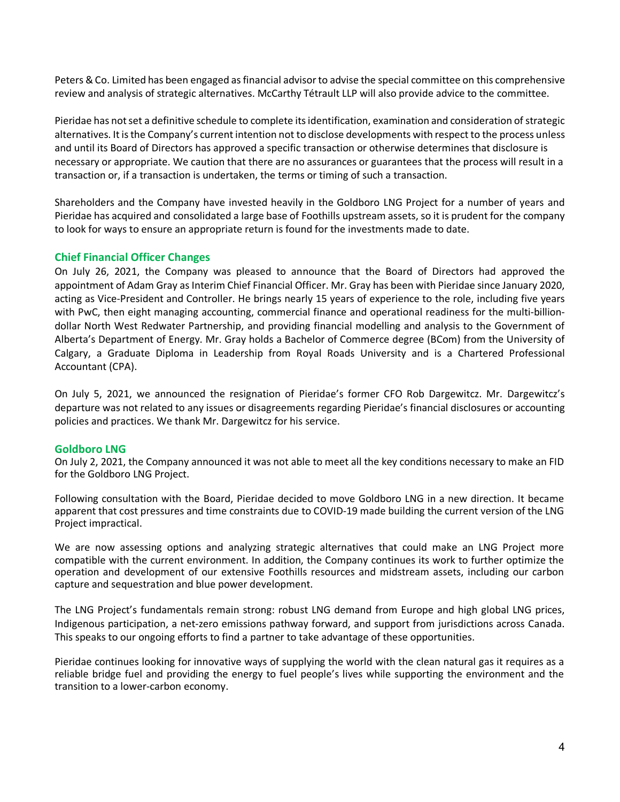Peters & Co. Limited has been engaged as financial advisor to advise the special committee on this comprehensive review and analysis of strategic alternatives. McCarthy Tétrault LLP will also provide advice to the committee.

Pieridae has not set a definitive schedule to complete its identification, examination and consideration of strategic alternatives. It is the Company's current intention not to disclose developments with respect to the process unless and until its Board of Directors has approved a specific transaction or otherwise determines that disclosure is necessary or appropriate. We caution that there are no assurances or guarantees that the process will result in a transaction or, if a transaction is undertaken, the terms or timing of such a transaction.

Shareholders and the Company have invested heavily in the Goldboro LNG Project for a number of years and Pieridae has acquired and consolidated a large base of Foothills upstream assets, so it is prudent for the company to look for ways to ensure an appropriate return is found for the investments made to date.

## **Chief Financial Officer Changes**

On July 26, 2021, the Company was pleased to announce that the Board of Directors had approved the appointment of Adam Gray as Interim Chief Financial Officer. Mr. Gray has been with Pieridae since January 2020, acting as Vice-President and Controller. He brings nearly 15 years of experience to the role, including five years with PwC, then eight managing accounting, commercial finance and operational readiness for the multi-billiondollar North West Redwater Partnership, and providing financial modelling and analysis to the Government of Alberta's Department of Energy. Mr. Gray holds a Bachelor of Commerce degree (BCom) from the University of Calgary, a Graduate Diploma in Leadership from Royal Roads University and is a Chartered Professional Accountant (CPA).

On July 5, 2021, we announced the resignation of Pieridae's former CFO Rob Dargewitcz. Mr. Dargewitcz's departure was not related to any issues or disagreements regarding Pieridae's financial disclosures or accounting policies and practices. We thank Mr. Dargewitcz for his service.

## **Goldboro LNG**

On July 2, 2021, the Company announced it was not able to meet all the key conditions necessary to make an FID for the Goldboro LNG Project.

Following consultation with the Board, Pieridae decided to move Goldboro LNG in a new direction. It became apparent that cost pressures and time constraints due to COVID-19 made building the current version of the LNG Project impractical.

We are now assessing options and analyzing strategic alternatives that could make an LNG Project more compatible with the current environment. In addition, the Company continues its work to further optimize the operation and development of our extensive Foothills resources and midstream assets, including our carbon capture and sequestration and blue power development.

The LNG Project's fundamentals remain strong: robust LNG demand from Europe and high global LNG prices, Indigenous participation, a net-zero emissions pathway forward, and support from jurisdictions across Canada. This speaks to our ongoing efforts to find a partner to take advantage of these opportunities.

Pieridae continues looking for innovative ways of supplying the world with the clean natural gas it requires as a reliable bridge fuel and providing the energy to fuel people's lives while supporting the environment and the transition to a lower-carbon economy.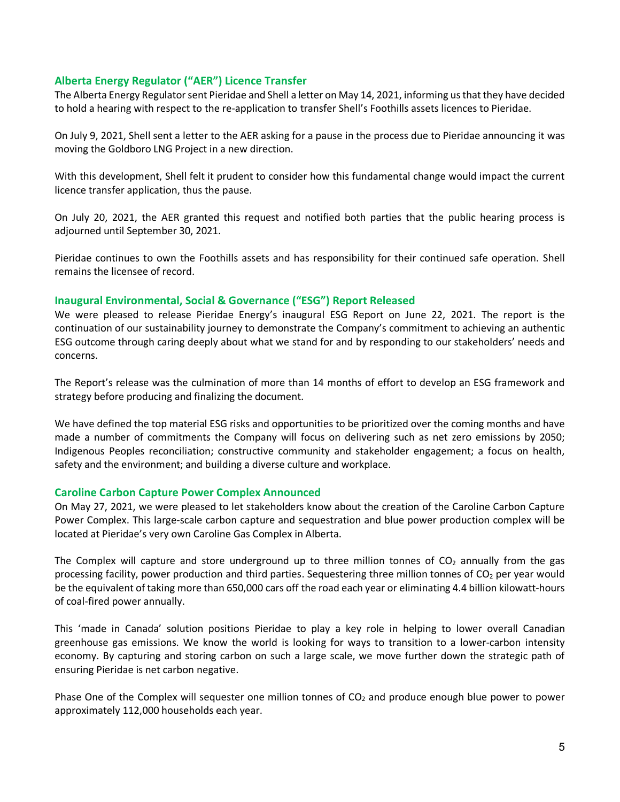### **Alberta Energy Regulator ("AER") Licence Transfer**

The Alberta Energy Regulator sent Pieridae and Shell a letter on May 14, 2021, informing us that they have decided to hold a hearing with respect to the re-application to transfer Shell's Foothills assets licences to Pieridae.

On July 9, 2021, Shell sent a letter to the AER asking for a pause in the process due to Pieridae announcing it was moving the Goldboro LNG Project in a new direction.

With this development, Shell felt it prudent to consider how this fundamental change would impact the current licence transfer application, thus the pause.

On July 20, 2021, the AER granted this request and notified both parties that the public hearing process is adjourned until September 30, 2021.

Pieridae continues to own the Foothills assets and has responsibility for their continued safe operation. Shell remains the licensee of record.

#### **Inaugural Environmental, Social & Governance ("ESG") Report Released**

We were pleased to release Pieridae Energy's inaugural ESG Report on June 22, 2021. The report is the continuation of our sustainability journey to demonstrate the Company's commitment to achieving an authentic ESG outcome through caring deeply about what we stand for and by responding to our stakeholders' needs and concerns.

The Report's release was the culmination of more than 14 months of effort to develop an ESG framework and strategy before producing and finalizing the document.

We have defined the top material ESG risks and opportunities to be prioritized over the coming months and have made a number of commitments the Company will focus on delivering such as net zero emissions by 2050; Indigenous Peoples reconciliation; constructive community and stakeholder engagement; a focus on health, safety and the environment; and building a diverse culture and workplace.

## **Caroline Carbon Capture Power Complex Announced**

On May 27, 2021, we were pleased to let stakeholders know about the creation of the Caroline Carbon Capture Power Complex. This large-scale carbon capture and sequestration and blue power production complex will be located at Pieridae's very own Caroline Gas Complex in Alberta.

The Complex will capture and store underground up to three million tonnes of  $CO<sub>2</sub>$  annually from the gas processing facility, power production and third parties. Sequestering three million tonnes of CO<sub>2</sub> per year would be the equivalent of taking more than 650,000 cars off the road each year or eliminating 4.4 billion kilowatt-hours of coal-fired power annually.

This 'made in Canada' solution positions Pieridae to play a key role in helping to lower overall Canadian greenhouse gas emissions. We know the world is looking for ways to transition to a lower-carbon intensity economy. By capturing and storing carbon on such a large scale, we move further down the strategic path of ensuring Pieridae is net carbon negative.

Phase One of the Complex will sequester one million tonnes of  $CO<sub>2</sub>$  and produce enough blue power to power approximately 112,000 households each year.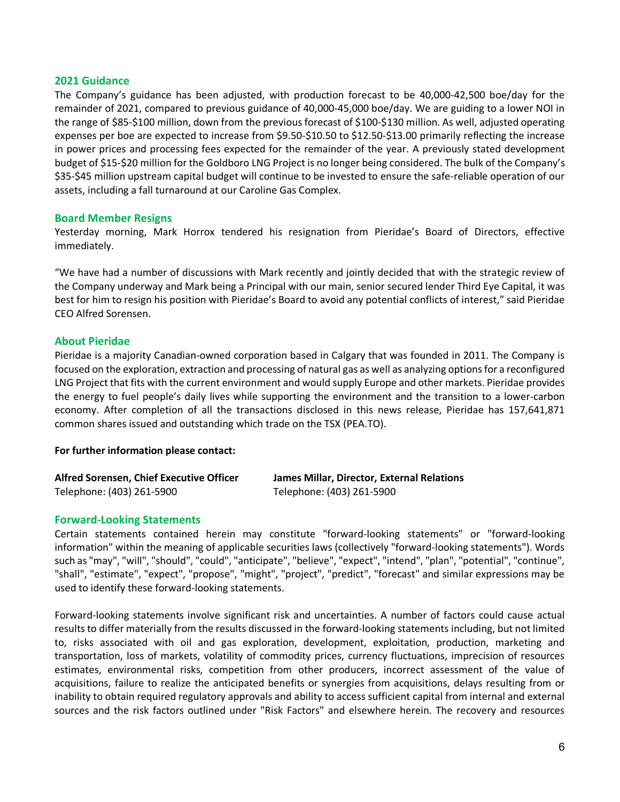#### **2021 Guidance**

The Company's guidance has been adjusted, with production forecast to be 40,000-42,500 boe/day for the remainder of 2021, compared to previous guidance of 40,000-45,000 boe/day. We are guiding to a lower NOI in the range of \$85-\$100 million, down from the previous forecast of \$100-\$130 million. As well, adjusted operating expenses per boe are expected to increase from \$9.50-\$10.50 to \$12.50-\$13.00 primarily reflecting the increase in power prices and processing fees expected for the remainder of the year. A previously stated development budget of \$15-\$20 million for the Goldboro LNG Project is no longer being considered. The bulk of the Company's \$35-\$45 million upstream capital budget will continue to be invested to ensure the safe-reliable operation of our assets, including a fall turnaround at our Caroline Gas Complex.

#### **Board Member Resigns**

Yesterday morning, Mark Horrox tendered his resignation from Pieridae's Board of Directors, effective immediately.

"We have had a number of discussions with Mark recently and jointly decided that with the strategic review of the Company underway and Mark being a Principal with our main, senior secured lender Third Eye Capital, it was best for him to resign his position with Pieridae's Board to avoid any potential conflicts of interest," said Pieridae CEO Alfred Sorensen.

#### **About Pieridae**

Pieridae is a majority Canadian-owned corporation based in Calgary that was founded in 2011. The Company is focused on the exploration, extraction and processing of natural gas as well as analyzing options for a reconfigured LNG Project that fits with the current environment and would supply Europe and other markets. Pieridae provides the energy to fuel people's daily lives while supporting the environment and the transition to a lower-carbon economy. After completion of all the transactions disclosed in this news release, Pieridae has 157,641,871 common shares issued and outstanding which trade on the TSX (PEA.TO).

#### **For further information please contact:**

| Alfred Sorensen, Chief Executive Officer | James Millar, Director, External Relations |
|------------------------------------------|--------------------------------------------|
| Telephone: (403) 261-5900                | Telephone: (403) 261-5900                  |

#### **Forward-Looking Statements**

Certain statements contained herein may constitute "forward-looking statements" or "forward-looking information" within the meaning of applicable securities laws (collectively "forward-looking statements"). Words such as "may", "will", "should", "could", "anticipate", "believe", "expect", "intend", "plan", "potential", "continue", "shall", "estimate", "expect", "propose", "might", "project", "predict", "forecast" and similar expressions may be used to identify these forward-looking statements.

Forward-looking statements involve significant risk and uncertainties. A number of factors could cause actual results to differ materially from the results discussed in the forward-looking statements including, but not limited to, risks associated with oil and gas exploration, development, exploitation, production, marketing and transportation, loss of markets, volatility of commodity prices, currency fluctuations, imprecision of resources estimates, environmental risks, competition from other producers, incorrect assessment of the value of acquisitions, failure to realize the anticipated benefits or synergies from acquisitions, delays resulting from or inability to obtain required regulatory approvals and ability to access sufficient capital from internal and external sources and the risk factors outlined under "Risk Factors" and elsewhere herein. The recovery and resources